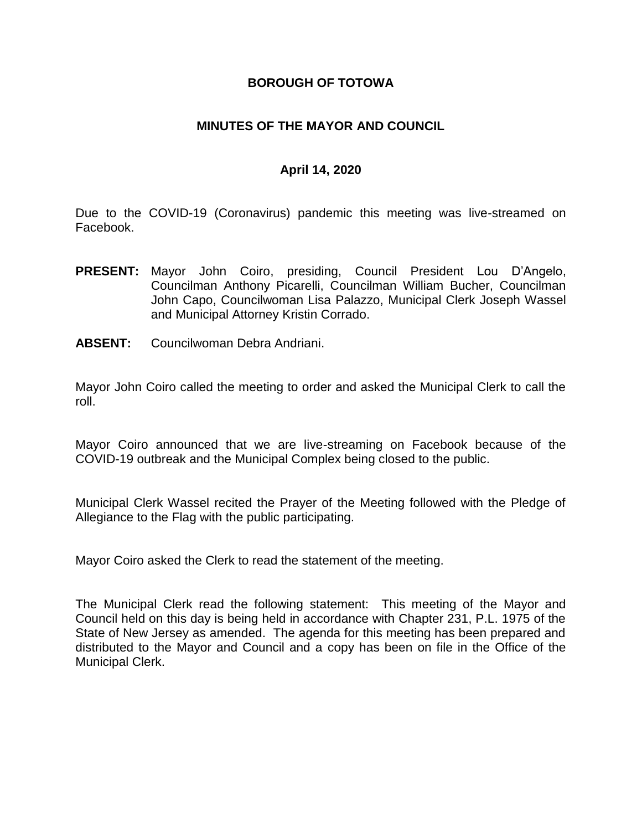#### **BOROUGH OF TOTOWA**

## **MINUTES OF THE MAYOR AND COUNCIL**

## **April 14, 2020**

Due to the COVID-19 (Coronavirus) pandemic this meeting was live-streamed on Facebook.

- **PRESENT:** Mayor John Coiro, presiding, Council President Lou D'Angelo, Councilman Anthony Picarelli, Councilman William Bucher, Councilman John Capo, Councilwoman Lisa Palazzo, Municipal Clerk Joseph Wassel and Municipal Attorney Kristin Corrado.
- **ABSENT:** Councilwoman Debra Andriani.

Mayor John Coiro called the meeting to order and asked the Municipal Clerk to call the roll.

Mayor Coiro announced that we are live-streaming on Facebook because of the COVID-19 outbreak and the Municipal Complex being closed to the public.

Municipal Clerk Wassel recited the Prayer of the Meeting followed with the Pledge of Allegiance to the Flag with the public participating.

Mayor Coiro asked the Clerk to read the statement of the meeting.

The Municipal Clerk read the following statement: This meeting of the Mayor and Council held on this day is being held in accordance with Chapter 231, P.L. 1975 of the State of New Jersey as amended. The agenda for this meeting has been prepared and distributed to the Mayor and Council and a copy has been on file in the Office of the Municipal Clerk.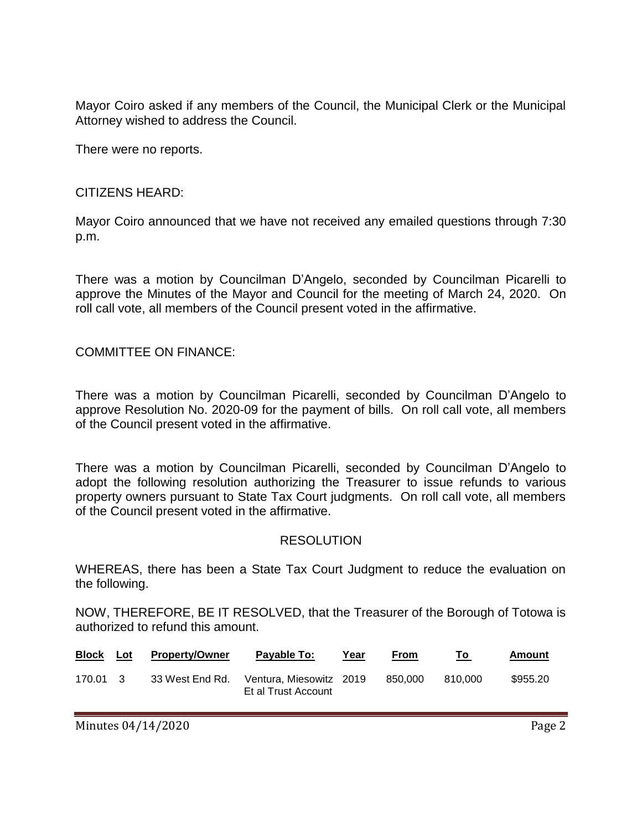Mayor Coiro asked if any members of the Council, the Municipal Clerk or the Municipal Attorney wished to address the Council.

There were no reports.

## CITIZENS HEARD:

Mayor Coiro announced that we have not received any emailed questions through 7:30 p.m.

There was a motion by Councilman D'Angelo, seconded by Councilman Picarelli to approve the Minutes of the Mayor and Council for the meeting of March 24, 2020. On roll call vote, all members of the Council present voted in the affirmative.

COMMITTEE ON FINANCE:

There was a motion by Councilman Picarelli, seconded by Councilman D'Angelo to approve Resolution No. 2020-09 for the payment of bills. On roll call vote, all members of the Council present voted in the affirmative.

There was a motion by Councilman Picarelli, seconded by Councilman D'Angelo to adopt the following resolution authorizing the Treasurer to issue refunds to various property owners pursuant to State Tax Court judgments. On roll call vote, all members of the Council present voted in the affirmative.

#### RESOLUTION

WHEREAS, there has been a State Tax Court Judgment to reduce the evaluation on the following.

NOW, THEREFORE, BE IT RESOLVED, that the Treasurer of the Borough of Totowa is authorized to refund this amount.

| <b>Block</b> | Lot | <b>Property/Owner</b> | Payable To:                                   | Year | From    | Τo      | Amount   |
|--------------|-----|-----------------------|-----------------------------------------------|------|---------|---------|----------|
| 170.01 3     |     | 33 West End Rd.       | Ventura Miesowitz 2019<br>Et al Trust Account |      | 850.000 | 810.000 | \$955.20 |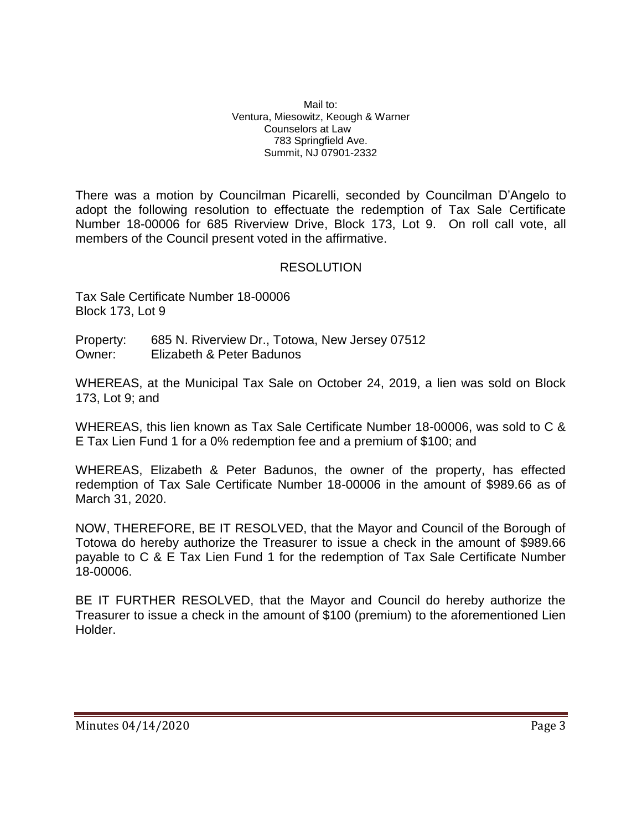Mail to: Ventura, Miesowitz, Keough & Warner Counselors at Law 783 Springfield Ave. Summit, NJ 07901-2332

There was a motion by Councilman Picarelli, seconded by Councilman D'Angelo to adopt the following resolution to effectuate the redemption of Tax Sale Certificate Number 18-00006 for 685 Riverview Drive, Block 173, Lot 9. On roll call vote, all members of the Council present voted in the affirmative.

## **RESOLUTION**

Tax Sale Certificate Number 18-00006 Block 173, Lot 9

Property: 685 N. Riverview Dr., Totowa, New Jersey 07512 Owner: Elizabeth & Peter Badunos

WHEREAS, at the Municipal Tax Sale on October 24, 2019, a lien was sold on Block 173, Lot 9; and

WHEREAS, this lien known as Tax Sale Certificate Number 18-00006, was sold to C & E Tax Lien Fund 1 for a 0% redemption fee and a premium of \$100; and

WHEREAS, Elizabeth & Peter Badunos, the owner of the property, has effected redemption of Tax Sale Certificate Number 18-00006 in the amount of \$989.66 as of March 31, 2020.

NOW, THEREFORE, BE IT RESOLVED, that the Mayor and Council of the Borough of Totowa do hereby authorize the Treasurer to issue a check in the amount of \$989.66 payable to C & E Tax Lien Fund 1 for the redemption of Tax Sale Certificate Number 18-00006.

BE IT FURTHER RESOLVED, that the Mayor and Council do hereby authorize the Treasurer to issue a check in the amount of \$100 (premium) to the aforementioned Lien Holder.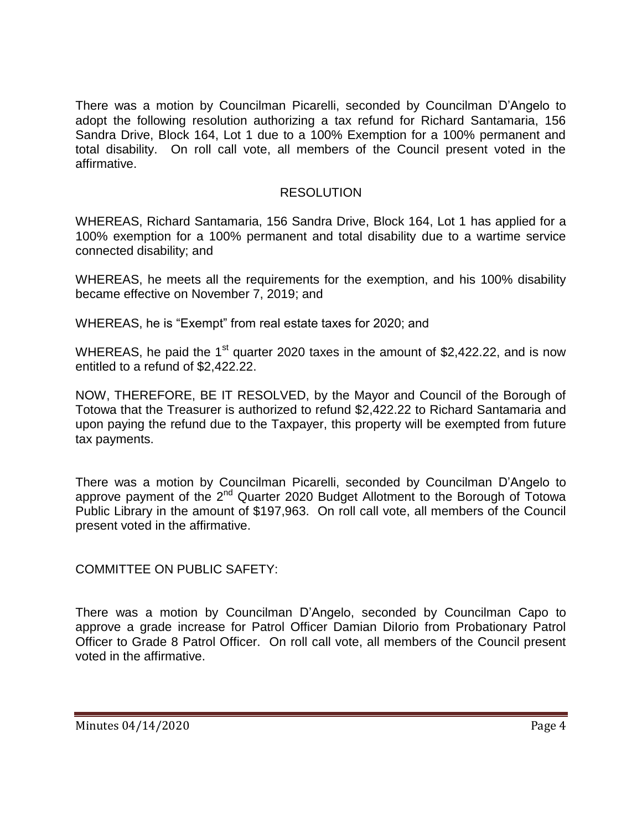There was a motion by Councilman Picarelli, seconded by Councilman D'Angelo to adopt the following resolution authorizing a tax refund for Richard Santamaria, 156 Sandra Drive, Block 164, Lot 1 due to a 100% Exemption for a 100% permanent and total disability. On roll call vote, all members of the Council present voted in the affirmative.

## RESOLUTION

WHEREAS, Richard Santamaria, 156 Sandra Drive, Block 164, Lot 1 has applied for a 100% exemption for a 100% permanent and total disability due to a wartime service connected disability; and

WHEREAS, he meets all the requirements for the exemption, and his 100% disability became effective on November 7, 2019; and

WHEREAS, he is "Exempt" from real estate taxes for 2020; and

WHEREAS, he paid the  $1<sup>st</sup>$  quarter 2020 taxes in the amount of \$2,422.22, and is now entitled to a refund of \$2,422.22.

NOW, THEREFORE, BE IT RESOLVED, by the Mayor and Council of the Borough of Totowa that the Treasurer is authorized to refund \$2,422.22 to Richard Santamaria and upon paying the refund due to the Taxpayer, this property will be exempted from future tax payments.

There was a motion by Councilman Picarelli, seconded by Councilman D'Angelo to approve payment of the  $2^{nd}$  Quarter 2020 Budget Allotment to the Borough of Totowa Public Library in the amount of \$197,963. On roll call vote, all members of the Council present voted in the affirmative.

COMMITTEE ON PUBLIC SAFETY:

There was a motion by Councilman D'Angelo, seconded by Councilman Capo to approve a grade increase for Patrol Officer Damian DiIorio from Probationary Patrol Officer to Grade 8 Patrol Officer. On roll call vote, all members of the Council present voted in the affirmative.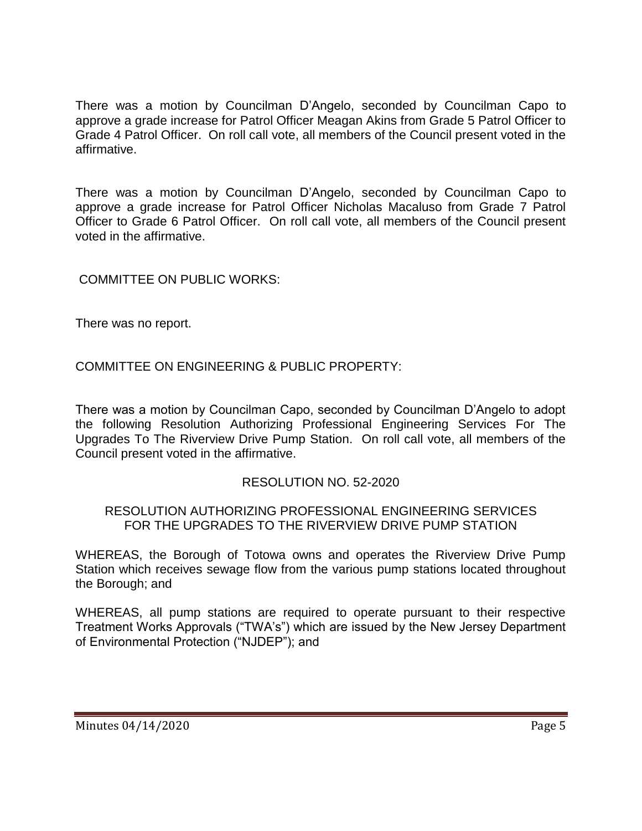There was a motion by Councilman D'Angelo, seconded by Councilman Capo to approve a grade increase for Patrol Officer Meagan Akins from Grade 5 Patrol Officer to Grade 4 Patrol Officer. On roll call vote, all members of the Council present voted in the affirmative.

There was a motion by Councilman D'Angelo, seconded by Councilman Capo to approve a grade increase for Patrol Officer Nicholas Macaluso from Grade 7 Patrol Officer to Grade 6 Patrol Officer. On roll call vote, all members of the Council present voted in the affirmative.

COMMITTEE ON PUBLIC WORKS:

There was no report.

COMMITTEE ON ENGINEERING & PUBLIC PROPERTY:

There was a motion by Councilman Capo, seconded by Councilman D'Angelo to adopt the following Resolution Authorizing Professional Engineering Services For The Upgrades To The Riverview Drive Pump Station. On roll call vote, all members of the Council present voted in the affirmative.

#### RESOLUTION NO. 52-2020

#### RESOLUTION AUTHORIZING PROFESSIONAL ENGINEERING SERVICES FOR THE UPGRADES TO THE RIVERVIEW DRIVE PUMP STATION

WHEREAS, the Borough of Totowa owns and operates the Riverview Drive Pump Station which receives sewage flow from the various pump stations located throughout the Borough; and

WHEREAS, all pump stations are required to operate pursuant to their respective Treatment Works Approvals ("TWA's") which are issued by the New Jersey Department of Environmental Protection ("NJDEP"); and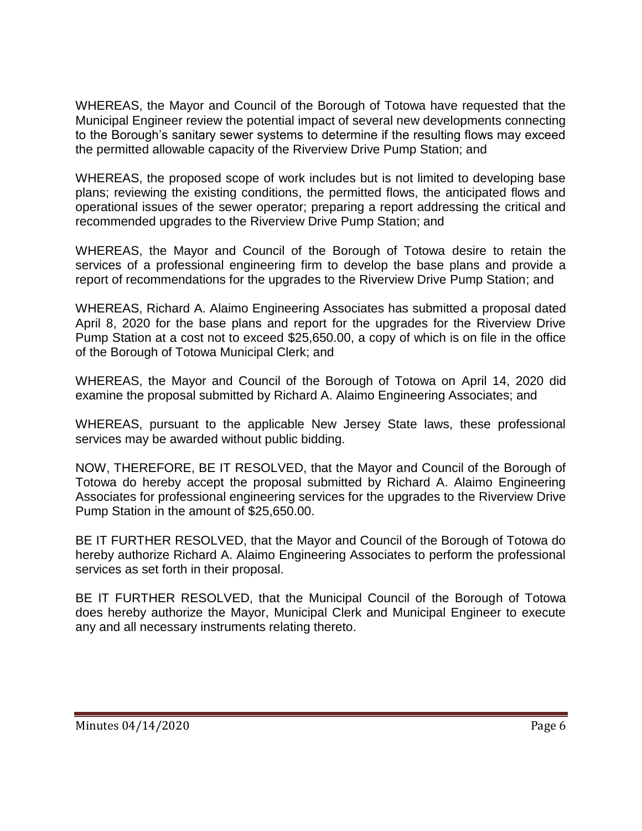WHEREAS, the Mayor and Council of the Borough of Totowa have requested that the Municipal Engineer review the potential impact of several new developments connecting to the Borough's sanitary sewer systems to determine if the resulting flows may exceed the permitted allowable capacity of the Riverview Drive Pump Station; and

WHEREAS, the proposed scope of work includes but is not limited to developing base plans; reviewing the existing conditions, the permitted flows, the anticipated flows and operational issues of the sewer operator; preparing a report addressing the critical and recommended upgrades to the Riverview Drive Pump Station; and

WHEREAS, the Mayor and Council of the Borough of Totowa desire to retain the services of a professional engineering firm to develop the base plans and provide a report of recommendations for the upgrades to the Riverview Drive Pump Station; and

WHEREAS, Richard A. Alaimo Engineering Associates has submitted a proposal dated April 8, 2020 for the base plans and report for the upgrades for the Riverview Drive Pump Station at a cost not to exceed \$25,650.00, a copy of which is on file in the office of the Borough of Totowa Municipal Clerk; and

WHEREAS, the Mayor and Council of the Borough of Totowa on April 14, 2020 did examine the proposal submitted by Richard A. Alaimo Engineering Associates; and

WHEREAS, pursuant to the applicable New Jersey State laws, these professional services may be awarded without public bidding.

NOW, THEREFORE, BE IT RESOLVED, that the Mayor and Council of the Borough of Totowa do hereby accept the proposal submitted by Richard A. Alaimo Engineering Associates for professional engineering services for the upgrades to the Riverview Drive Pump Station in the amount of \$25,650.00.

BE IT FURTHER RESOLVED, that the Mayor and Council of the Borough of Totowa do hereby authorize Richard A. Alaimo Engineering Associates to perform the professional services as set forth in their proposal.

BE IT FURTHER RESOLVED, that the Municipal Council of the Borough of Totowa does hereby authorize the Mayor, Municipal Clerk and Municipal Engineer to execute any and all necessary instruments relating thereto.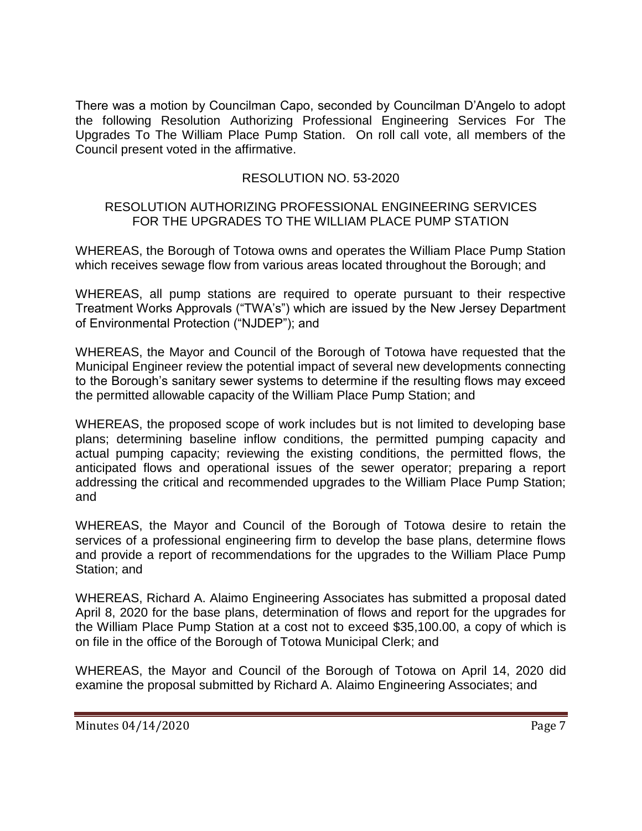There was a motion by Councilman Capo, seconded by Councilman D'Angelo to adopt the following Resolution Authorizing Professional Engineering Services For The Upgrades To The William Place Pump Station. On roll call vote, all members of the Council present voted in the affirmative.

# RESOLUTION NO. 53-2020

## RESOLUTION AUTHORIZING PROFESSIONAL ENGINEERING SERVICES FOR THE UPGRADES TO THE WILLIAM PLACE PUMP STATION

WHEREAS, the Borough of Totowa owns and operates the William Place Pump Station which receives sewage flow from various areas located throughout the Borough; and

WHEREAS, all pump stations are required to operate pursuant to their respective Treatment Works Approvals ("TWA's") which are issued by the New Jersey Department of Environmental Protection ("NJDEP"); and

WHEREAS, the Mayor and Council of the Borough of Totowa have requested that the Municipal Engineer review the potential impact of several new developments connecting to the Borough's sanitary sewer systems to determine if the resulting flows may exceed the permitted allowable capacity of the William Place Pump Station; and

WHEREAS, the proposed scope of work includes but is not limited to developing base plans; determining baseline inflow conditions, the permitted pumping capacity and actual pumping capacity; reviewing the existing conditions, the permitted flows, the anticipated flows and operational issues of the sewer operator; preparing a report addressing the critical and recommended upgrades to the William Place Pump Station; and

WHEREAS, the Mayor and Council of the Borough of Totowa desire to retain the services of a professional engineering firm to develop the base plans, determine flows and provide a report of recommendations for the upgrades to the William Place Pump Station; and

WHEREAS, Richard A. Alaimo Engineering Associates has submitted a proposal dated April 8, 2020 for the base plans, determination of flows and report for the upgrades for the William Place Pump Station at a cost not to exceed \$35,100.00, a copy of which is on file in the office of the Borough of Totowa Municipal Clerk; and

WHEREAS, the Mayor and Council of the Borough of Totowa on April 14, 2020 did examine the proposal submitted by Richard A. Alaimo Engineering Associates; and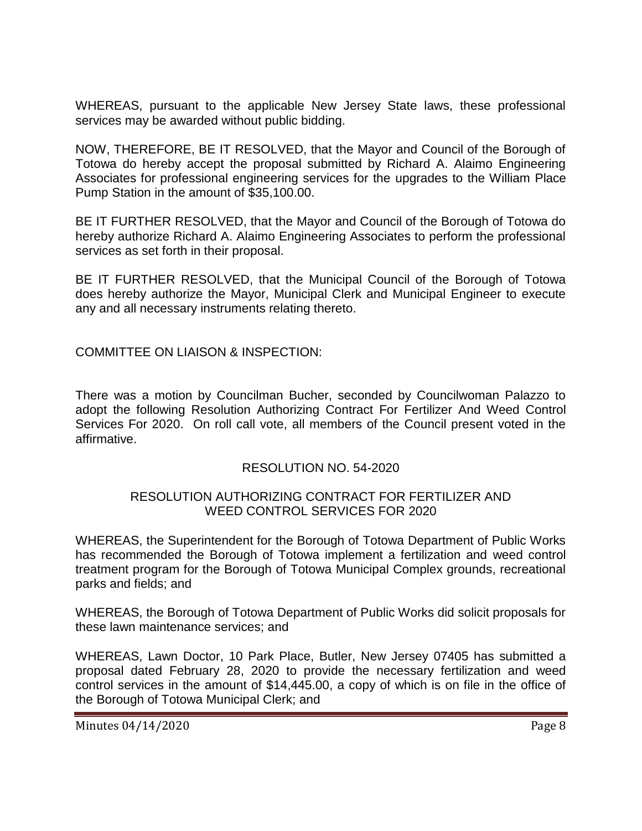WHEREAS, pursuant to the applicable New Jersey State laws, these professional services may be awarded without public bidding.

NOW, THEREFORE, BE IT RESOLVED, that the Mayor and Council of the Borough of Totowa do hereby accept the proposal submitted by Richard A. Alaimo Engineering Associates for professional engineering services for the upgrades to the William Place Pump Station in the amount of \$35,100.00.

BE IT FURTHER RESOLVED, that the Mayor and Council of the Borough of Totowa do hereby authorize Richard A. Alaimo Engineering Associates to perform the professional services as set forth in their proposal.

BE IT FURTHER RESOLVED, that the Municipal Council of the Borough of Totowa does hereby authorize the Mayor, Municipal Clerk and Municipal Engineer to execute any and all necessary instruments relating thereto.

COMMITTEE ON LIAISON & INSPECTION:

There was a motion by Councilman Bucher, seconded by Councilwoman Palazzo to adopt the following Resolution Authorizing Contract For Fertilizer And Weed Control Services For 2020. On roll call vote, all members of the Council present voted in the affirmative.

#### RESOLUTION NO. 54-2020

## RESOLUTION AUTHORIZING CONTRACT FOR FERTILIZER AND WEED CONTROL SERVICES FOR 2020

WHEREAS, the Superintendent for the Borough of Totowa Department of Public Works has recommended the Borough of Totowa implement a fertilization and weed control treatment program for the Borough of Totowa Municipal Complex grounds, recreational parks and fields; and

WHEREAS, the Borough of Totowa Department of Public Works did solicit proposals for these lawn maintenance services; and

WHEREAS, Lawn Doctor, 10 Park Place, Butler, New Jersey 07405 has submitted a proposal dated February 28, 2020 to provide the necessary fertilization and weed control services in the amount of \$14,445.00, a copy of which is on file in the office of the Borough of Totowa Municipal Clerk; and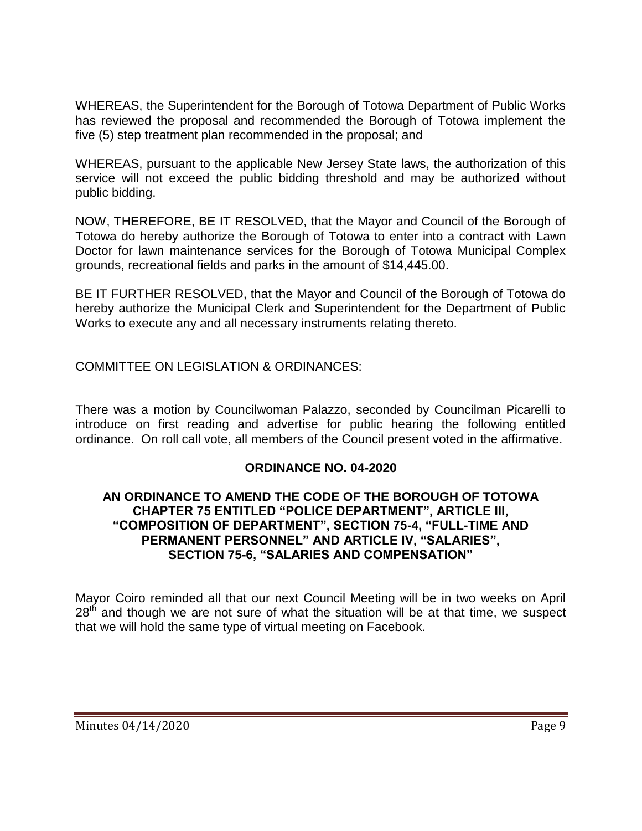WHEREAS, the Superintendent for the Borough of Totowa Department of Public Works has reviewed the proposal and recommended the Borough of Totowa implement the five (5) step treatment plan recommended in the proposal; and

WHEREAS, pursuant to the applicable New Jersey State laws, the authorization of this service will not exceed the public bidding threshold and may be authorized without public bidding.

NOW, THEREFORE, BE IT RESOLVED, that the Mayor and Council of the Borough of Totowa do hereby authorize the Borough of Totowa to enter into a contract with Lawn Doctor for lawn maintenance services for the Borough of Totowa Municipal Complex grounds, recreational fields and parks in the amount of \$14,445.00.

BE IT FURTHER RESOLVED, that the Mayor and Council of the Borough of Totowa do hereby authorize the Municipal Clerk and Superintendent for the Department of Public Works to execute any and all necessary instruments relating thereto.

COMMITTEE ON LEGISLATION & ORDINANCES:

There was a motion by Councilwoman Palazzo, seconded by Councilman Picarelli to introduce on first reading and advertise for public hearing the following entitled ordinance. On roll call vote, all members of the Council present voted in the affirmative.

#### **ORDINANCE NO. 04-2020**

#### **AN ORDINANCE TO AMEND THE CODE OF THE BOROUGH OF TOTOWA CHAPTER 75 ENTITLED "POLICE DEPARTMENT", ARTICLE III, "COMPOSITION OF DEPARTMENT", SECTION 75-4, "FULL-TIME AND PERMANENT PERSONNEL" AND ARTICLE IV, "SALARIES", SECTION 75-6, "SALARIES AND COMPENSATION"**

Mayor Coiro reminded all that our next Council Meeting will be in two weeks on April  $28<sup>th</sup>$  and though we are not sure of what the situation will be at that time, we suspect that we will hold the same type of virtual meeting on Facebook.